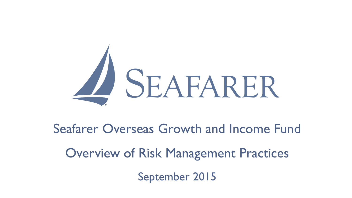

Seafarer Overseas Growth and Income Fund

Overview of Risk Management Practices

September 2015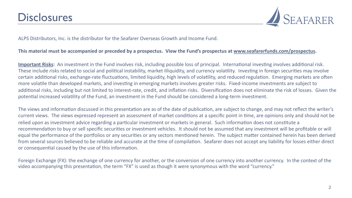

ALPS Distributors, Inc. is the distributor for the Seafarer Overseas Growth and Income Fund.

#### This material must be accompanied or preceded by a prospectus. View the Fund's prospectus at www.seafarerfunds.com/prospectus.

**Important Risks:** An investment in the Fund involves risk, including possible loss of principal. International investing involves additional risk. These include risks related to social and political instability, market illiquidity, and currency volatility. Investing in foreign securities may involve certain additional risks, exchange-rate fluctuations, limited liquidity, high levels of volatility, and reduced regulation. Emerging markets are often more volatile than developed markets, and investing in emerging markets involves greater risks. Fixed-income investments are subject to additional risks, including but not limited to interest-rate, credit, and inflation risks. Diversification does not eliminate the risk of losses. Given the potential increased volatility of the Fund, an investment in the Fund should be considered a long-term investment.

The views and information discussed in this presentation are as of the date of publication, are subject to change, and may not reflect the writer's current views. The views expressed represent an assessment of market conditions at a specific point in time, are opinions only and should not be relied upon as investment advice regarding a particular investment or markets in general. Such information does not constitute a recommendation to buy or sell specific securities or investment vehicles. It should not be assumed that any investment will be profitable or will equal the performance of the portfolios or any securities or any sectors mentioned herein. The subject matter contained herein has been derived from several sources believed to be reliable and accurate at the time of compilation. Seafarer does not accept any liability for losses either direct or consequential caused by the use of this information.

Foreign Exchange (FX): the exchange of one currency for another, or the conversion of one currency into another currency. In the context of the video accompanying this presentation, the term "FX" is used as though it were synonymous with the word "currency."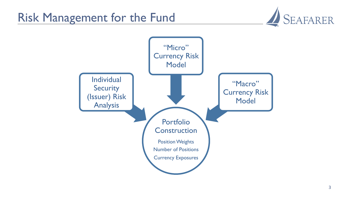

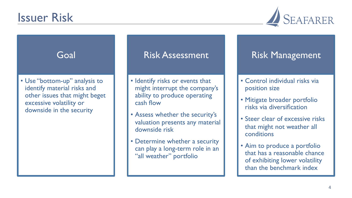

### Goal

• Use "bottom-up" analysis to identify material risks and other issues that might beget excessive volatility or downside in the security

## Risk Assessment

- Identify risks or events that might interrupt the company's ability to produce operating cash flow
- Assess whether the security's valuation presents any material downside risk
- Determine whether a security can play a long-term role in an "all weather" portfolio

# Risk Management

- Control individual risks via position size
- Mitigate broader portfolio risks via diversification
- Steer clear of excessive risks that might not weather all conditions
- Aim to produce a portfolio that has a reasonable chance of exhibiting lower volatility than the benchmark index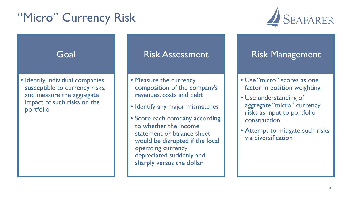# "Micro" Currency Risk



### Goal

• Identify individual companies susceptible to currency risks, and measure the aggregate impact of such risks on the portfolio

### Risk Assessment

- Measure the currency composition of the company's revenues, costs and debt
- Identify any major mismatches
- Score each company according to whether the income statement or balance sheet would be disrupted if the local operating currency depreciated suddenly and sharply versus the dollar

# Risk Management

- Use "micro" scores as one factor in position weighting
- Use understanding of aggregate "micro" currency risks as input to portfolio construction
- Attempt to mitigate such risks via diversification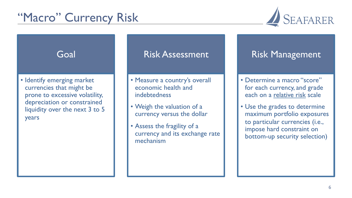# "Macro" Currency Risk



#### Goal • Identify emerging market currencies that might be prone to excessive volatility, depreciation or constrained liquidity over the next 3 to 5 years Risk Assessment • Measure a country's overall economic health and indebtedness • Weigh the valuation of a currency versus the dollar • Assess the fragility of a currency and its exchange rate mechanism Risk Management • Determine a macro "score" for each currency, and grade each on a relative risk scale • Use the grades to determine maximum portfolio exposures to particular currencies (i.e., impose hard constraint on bottom-up security selection)